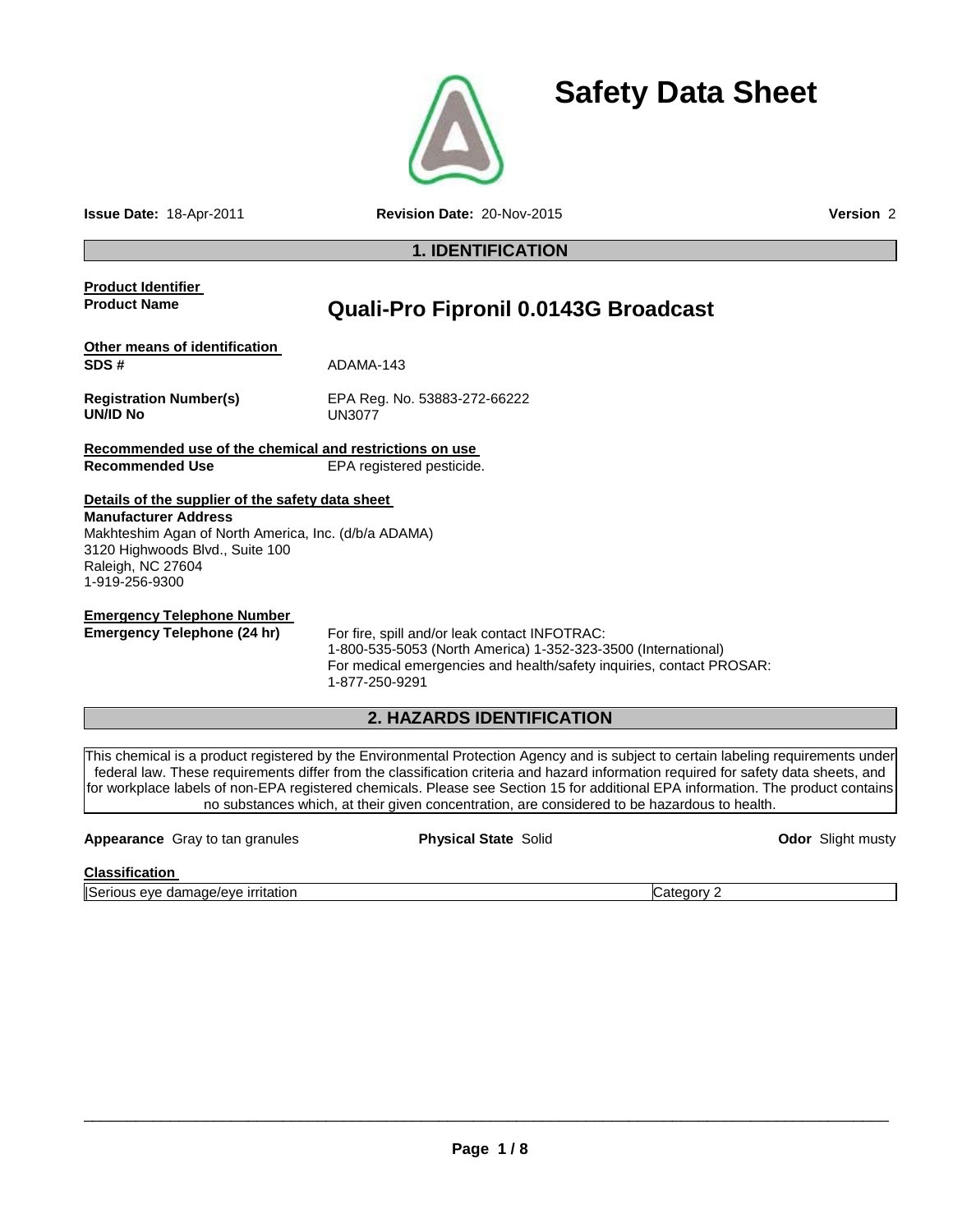

**Issue Date:** 18-Apr-2011 **Revision Date:** 20-Nov-2015 **Version** 2

# **1. IDENTIFICATION**

# **Product Identifier**

# **Product Name Quali-Pro Fipronil 0.0143G Broadcast**

| Other means of identification             |                                               |
|-------------------------------------------|-----------------------------------------------|
| SDS #                                     | ADAMA-143                                     |
| <b>Registration Number(s)</b><br>UN/ID No | EPA Reg. No. 53883-272-66222<br><b>UN3077</b> |

**Recommended use of the chemical and restrictions on use**  Recommended Use **EPA** registered pesticide.

**Details of the supplier of the safety data sheet Manufacturer Address** Makhteshim Agan of North America, Inc. (d/b/a ADAMA) 3120 Highwoods Blvd., Suite 100 Raleigh, NC 27604 1-919-256-9300

**Emergency Telephone Number**<br> **Emergency Telephone (24 hr)** 

For fire, spill and/or leak contact INFOTRAC: 1-800-535-5053 (North America) 1-352-323-3500 (International) For medical emergencies and health/safety inquiries, contact PROSAR: 1-877-250-9291

# **2. HAZARDS IDENTIFICATION**

This chemical is a product registered by the Environmental Protection Agency and is subject to certain labeling requirements under federal law. These requirements differ from the classification criteria and hazard information required for safety data sheets, and for workplace labels of non-EPA registered chemicals. Please see Section 15 for additional EPA information. The product contains no substances which, at their given concentration, are considered to be hazardous to health.

| <b>Appearance</b> Gray to tan granules | <b>Physical State Solid</b> | <b>Odor</b> Slight musty |
|----------------------------------------|-----------------------------|--------------------------|
| Classification                         |                             |                          |

**Classification** 

|Serious eye damage/eye irritation Category 2

**Safety Data Sheet**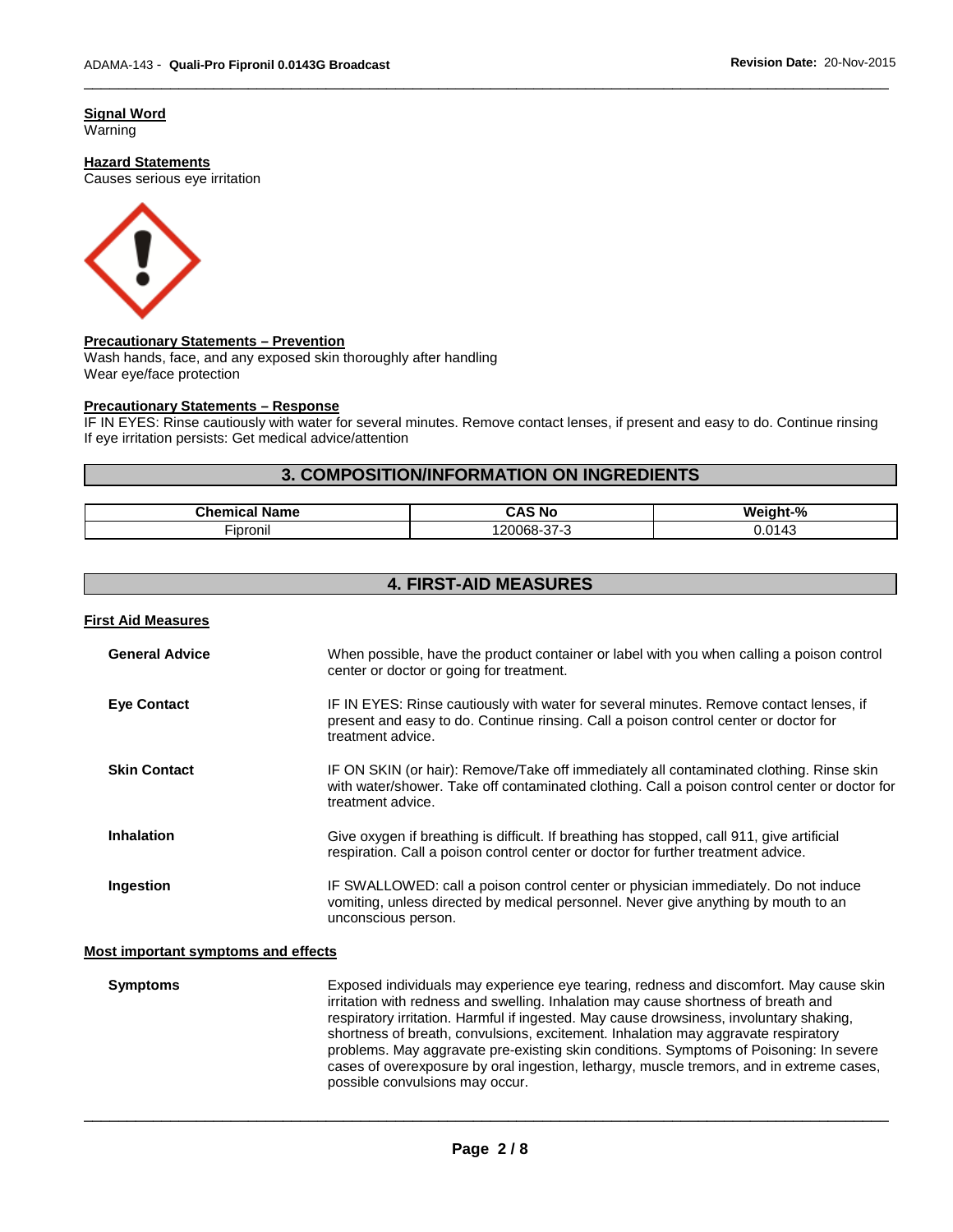**Signal Word** Warning

#### **Hazard Statements**

Causes serious eye irritation



#### **Precautionary Statements – Prevention**

Wash hands, face, and any exposed skin thoroughly after handling Wear eye/face protection

#### **Precautionary Statements – Response**

IF IN EYES: Rinse cautiously with water for several minutes. Remove contact lenses, if present and easy to do. Continue rinsing If eye irritation persists: Get medical advice/attention

\_\_\_\_\_\_\_\_\_\_\_\_\_\_\_\_\_\_\_\_\_\_\_\_\_\_\_\_\_\_\_\_\_\_\_\_\_\_\_\_\_\_\_\_\_\_\_\_\_\_\_\_\_\_\_\_\_\_\_\_\_\_\_\_\_\_\_\_\_\_\_\_\_\_\_\_\_\_\_\_\_\_\_\_\_\_\_\_\_\_\_\_\_

### **3. COMPOSITION/INFORMATION ON INGREDIENTS**

| Name<br>⊶nem.<br>піся<br>_____ | -л<br>-NG<br>$\cdot$ | ∘%<br>We<br>nt              |
|--------------------------------|----------------------|-----------------------------|
| --<br>-ipronil                 | , ווי<br>-מחו<br>╯   | $\sim$<br>$-$<br><i>,.u</i> |

# **4. FIRST-AID MEASURES**

| <b>First Aid Measures</b>                  |                                                                                                                                                                                                               |
|--------------------------------------------|---------------------------------------------------------------------------------------------------------------------------------------------------------------------------------------------------------------|
| <b>General Advice</b>                      | When possible, have the product container or label with you when calling a poison control<br>center or doctor or going for treatment.                                                                         |
| <b>Eye Contact</b>                         | IF IN EYES: Rinse cautiously with water for several minutes. Remove contact lenses, if<br>present and easy to do. Continue rinsing. Call a poison control center or doctor for<br>treatment advice.           |
| <b>Skin Contact</b>                        | IF ON SKIN (or hair): Remove/Take off immediately all contaminated clothing. Rinse skin<br>with water/shower. Take off contaminated clothing. Call a poison control center or doctor for<br>treatment advice. |
| Inhalation                                 | Give oxygen if breathing is difficult. If breathing has stopped, call 911, give artificial<br>respiration. Call a poison control center or doctor for further treatment advice.                               |
| Ingestion                                  | IF SWALLOWED: call a poison control center or physician immediately. Do not induce<br>vomiting, unless directed by medical personnel. Never give anything by mouth to an<br>unconscious person.               |
| <b>Most important symptoms and effects</b> |                                                                                                                                                                                                               |
| Symptoms                                   | Exposed individuals may experience eye tearing redness and discomfort May cause skin                                                                                                                          |

**Symptoms** Exposed individuals may experience eye tearing, redness and discomfort. May cause skin irritation with redness and swelling. Inhalation may cause shortness of breath and respiratory irritation. Harmful if ingested. May cause drowsiness, involuntary shaking, shortness of breath, convulsions, excitement. Inhalation may aggravate respiratory problems. May aggravate pre-existing skin conditions. Symptoms of Poisoning: In severe cases of overexposure by oral ingestion, lethargy, muscle tremors, and in extreme cases, possible convulsions may occur.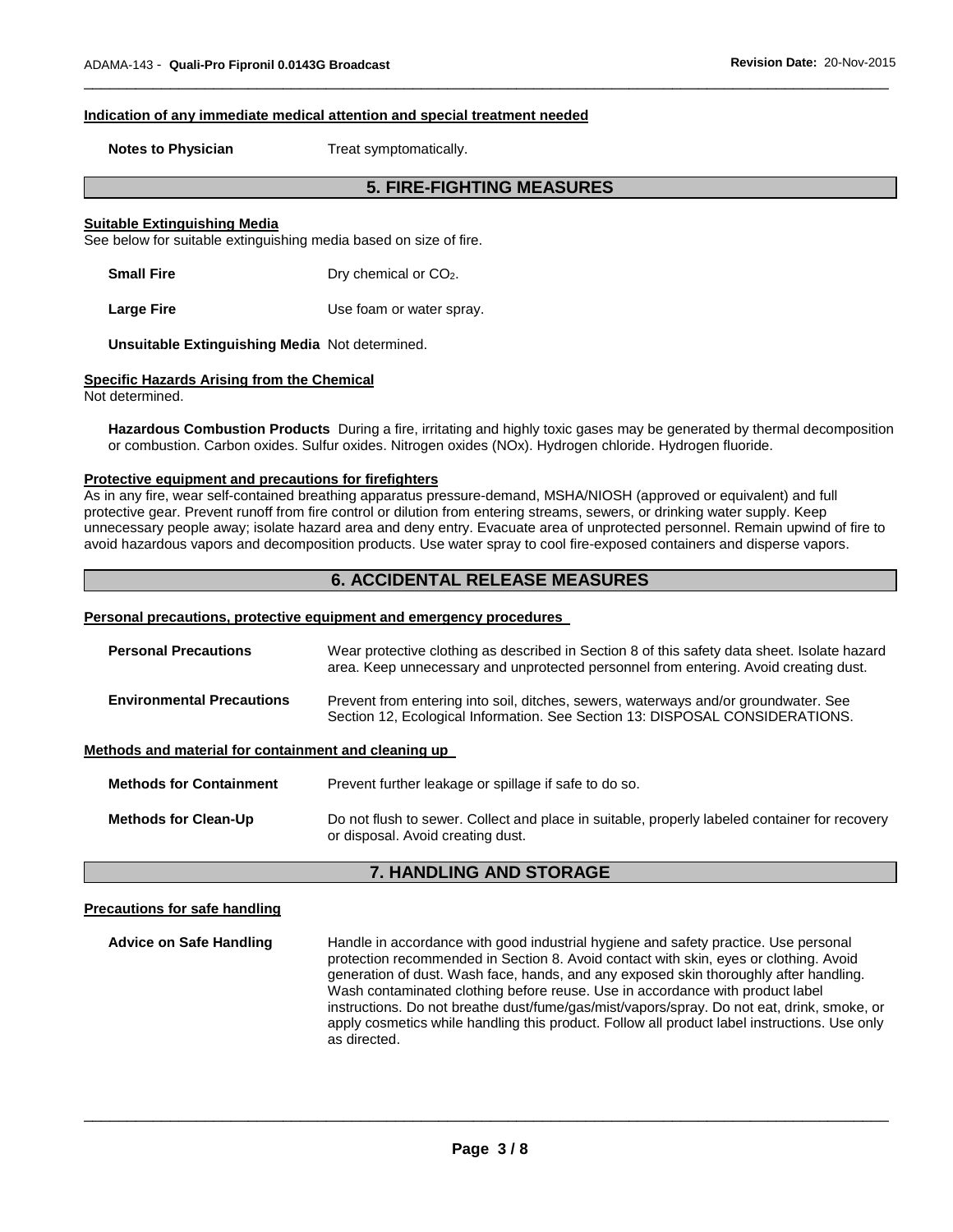#### **Indication of any immediate medical attention and special treatment needed**

**Notes to Physician**  Treat symptomatically.

# **5. FIRE-FIGHTING MEASURES**

\_\_\_\_\_\_\_\_\_\_\_\_\_\_\_\_\_\_\_\_\_\_\_\_\_\_\_\_\_\_\_\_\_\_\_\_\_\_\_\_\_\_\_\_\_\_\_\_\_\_\_\_\_\_\_\_\_\_\_\_\_\_\_\_\_\_\_\_\_\_\_\_\_\_\_\_\_\_\_\_\_\_\_\_\_\_\_\_\_\_\_\_\_

#### **Suitable Extinguishing Media**

See below for suitable extinguishing media based on size of fire.

**Small Fire** Dry chemical or CO<sub>2</sub>.

Large Fire **Large Fire Large Fire Large Fire Large Fire** 

**Unsuitable Extinguishing Media** Not determined.

#### **Specific Hazards Arising from the Chemical**

Not determined.

**Hazardous Combustion Products** During a fire, irritating and highly toxic gases may be generated by thermal decomposition or combustion. Carbon oxides. Sulfur oxides. Nitrogen oxides (NOx). Hydrogen chloride. Hydrogen fluoride.

#### **Protective equipment and precautions for firefighters**

As in any fire, wear self-contained breathing apparatus pressure-demand, MSHA/NIOSH (approved or equivalent) and full protective gear. Prevent runoff from fire control or dilution from entering streams, sewers, or drinking water supply. Keep unnecessary people away; isolate hazard area and deny entry. Evacuate area of unprotected personnel. Remain upwind of fire to avoid hazardous vapors and decomposition products. Use water spray to cool fire-exposed containers and disperse vapors.

# **6. ACCIDENTAL RELEASE MEASURES**

#### **Personal precautions, protective equipment and emergency procedures**

| <b>Personal Precautions</b>                          | Wear protective clothing as described in Section 8 of this safety data sheet. Isolate hazard<br>area. Keep unnecessary and unprotected personnel from entering. Avoid creating dust. |  |
|------------------------------------------------------|--------------------------------------------------------------------------------------------------------------------------------------------------------------------------------------|--|
| <b>Environmental Precautions</b>                     | Prevent from entering into soil, ditches, sewers, waterways and/or groundwater. See<br>Section 12, Ecological Information. See Section 13: DISPOSAL CONSIDERATIONS.                  |  |
| Methods and material for containment and cleaning up |                                                                                                                                                                                      |  |
| <b>Methods for Containment</b>                       | Prevent further leakage or spillage if safe to do so.                                                                                                                                |  |
| <b>Methods for Clean-Up</b>                          | Do not flush to sewer. Collect and place in suitable, properly labeled container for recovery<br>or disposal. Avoid creating dust.                                                   |  |

# **7. HANDLING AND STORAGE**

#### **Precautions for safe handling**

**Advice on Safe Handling** Handle in accordance with good industrial hygiene and safety practice. Use personal protection recommended in Section 8. Avoid contact with skin, eyes or clothing. Avoid generation of dust. Wash face, hands, and any exposed skin thoroughly after handling. Wash contaminated clothing before reuse. Use in accordance with product label instructions. Do not breathe dust/fume/gas/mist/vapors/spray. Do not eat, drink, smoke, or apply cosmetics while handling this product. Follow all product label instructions. Use only as directed.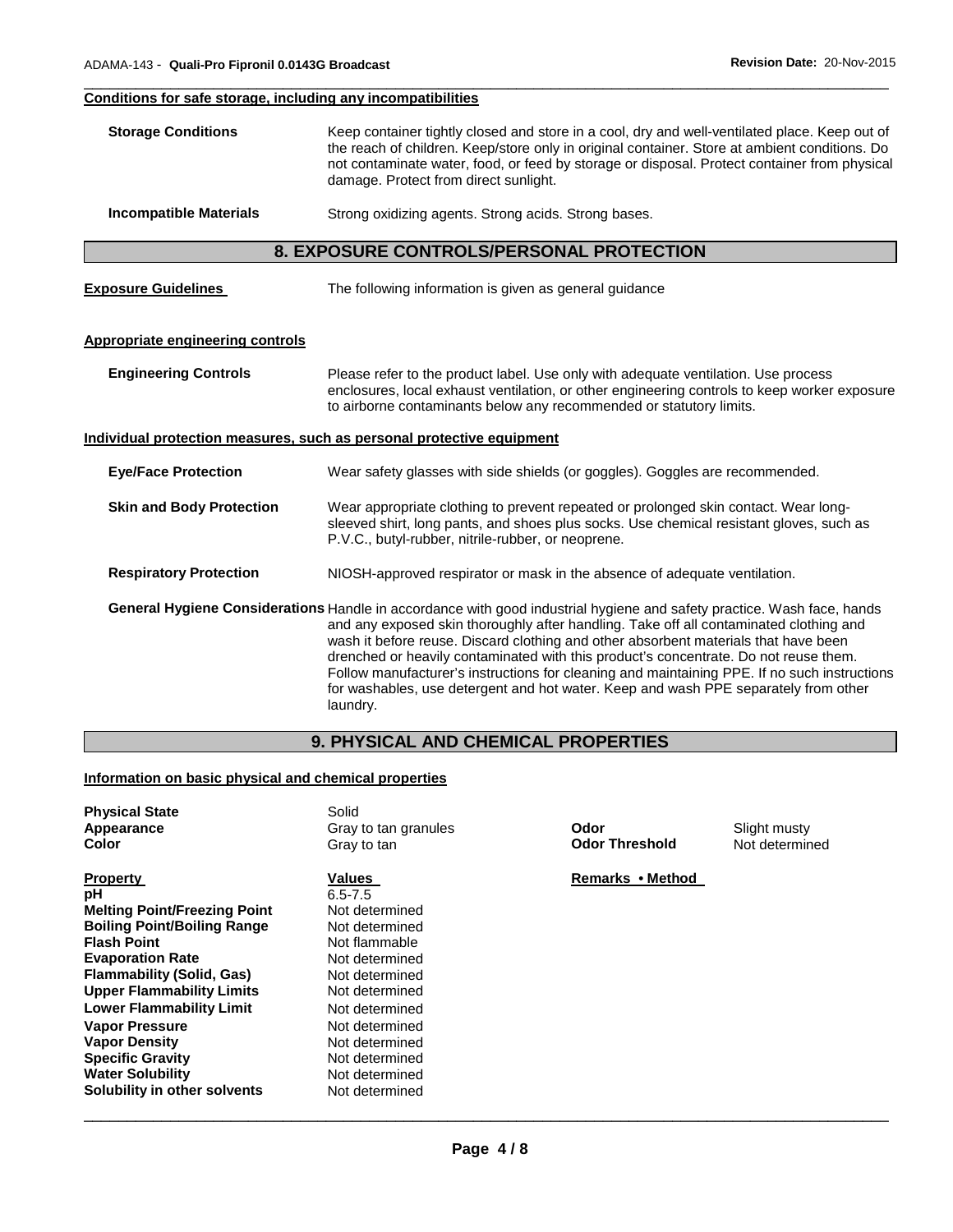#### \_\_\_\_\_\_\_\_\_\_\_\_\_\_\_\_\_\_\_\_\_\_\_\_\_\_\_\_\_\_\_\_\_\_\_\_\_\_\_\_\_\_\_\_\_\_\_\_\_\_\_\_\_\_\_\_\_\_\_\_\_\_\_\_\_\_\_\_\_\_\_\_\_\_\_\_\_\_\_\_\_\_\_\_\_\_\_\_\_\_\_\_\_ **Conditions for safe storage, including any incompatibilities**

| <b>Storage Conditions</b> | Keep container tightly closed and store in a cool, dry and well-ventilated place. Keep out of<br>the reach of children. Keep/store only in original container. Store at ambient conditions. Do<br>not contaminate water, food, or feed by storage or disposal. Protect container from physical<br>damage. Protect from direct sunlight. |
|---------------------------|-----------------------------------------------------------------------------------------------------------------------------------------------------------------------------------------------------------------------------------------------------------------------------------------------------------------------------------------|
|                           |                                                                                                                                                                                                                                                                                                                                         |

**Incompatible Materials Strong oxidizing agents. Strong acids. Strong bases.** 

# **8. EXPOSURE CONTROLS/PERSONAL PROTECTION**

| <b>Exposure Guidelines</b> | The following information is given as general guidance |
|----------------------------|--------------------------------------------------------|
|                            |                                                        |

#### **Appropriate engineering controls**

**Engineering Controls** Please refer to the product label. Use only with adequate ventilation. Use process enclosures, local exhaust ventilation, or other engineering controls to keep worker exposure to airborne contaminants below any recommended or statutory limits.

#### **Individual protection measures, such as personal protective equipment**

**Eye/Face Protection** Wear safety glasses with side shields (or goggles). Goggles are recommended.

#### **Skin and Body Protection** Wear appropriate clothing to prevent repeated or prolonged skin contact. Wear longsleeved shirt, long pants, and shoes plus socks. Use chemical resistant gloves, such as P.V.C., butyl-rubber, nitrile-rubber, or neoprene.

#### **Respiratory Protection** NIOSH-approved respirator or mask in the absence of adequate ventilation.

**General Hygiene Considerations** Handle in accordance with good industrial hygiene and safety practice. Wash face, hands and any exposed skin thoroughly after handling. Take off all contaminated clothing and wash it before reuse. Discard clothing and other absorbent materials that have been drenched or heavily contaminated with this product's concentrate. Do not reuse them. Follow manufacturer's instructions for cleaning and maintaining PPE. If no such instructions for washables, use detergent and hot water. Keep and wash PPE separately from other laundry.

# **9. PHYSICAL AND CHEMICAL PROPERTIES**

# **Information on basic physical and chemical properties**

| <b>Physical State</b><br>Appearance<br>Color | Solid<br>Gray to tan granules<br>Gray to tan | Odor<br><b>Odor Threshold</b> | Slight musty<br>Not determined |
|----------------------------------------------|----------------------------------------------|-------------------------------|--------------------------------|
| <b>Property</b>                              | <b>Values</b>                                | Remarks • Method              |                                |
| pН                                           | $6.5 - 7.5$                                  |                               |                                |
| <b>Melting Point/Freezing Point</b>          | Not determined                               |                               |                                |
| <b>Boiling Point/Boiling Range</b>           | Not determined                               |                               |                                |
| <b>Flash Point</b>                           | Not flammable                                |                               |                                |
| <b>Evaporation Rate</b>                      | Not determined                               |                               |                                |
| <b>Flammability (Solid, Gas)</b>             | Not determined                               |                               |                                |
| <b>Upper Flammability Limits</b>             | Not determined                               |                               |                                |
| <b>Lower Flammability Limit</b>              | Not determined                               |                               |                                |
| <b>Vapor Pressure</b>                        | Not determined                               |                               |                                |
| <b>Vapor Density</b>                         | Not determined                               |                               |                                |
| <b>Specific Gravity</b>                      | Not determined                               |                               |                                |
| <b>Water Solubility</b>                      | Not determined                               |                               |                                |
| Solubility in other solvents                 | Not determined                               |                               |                                |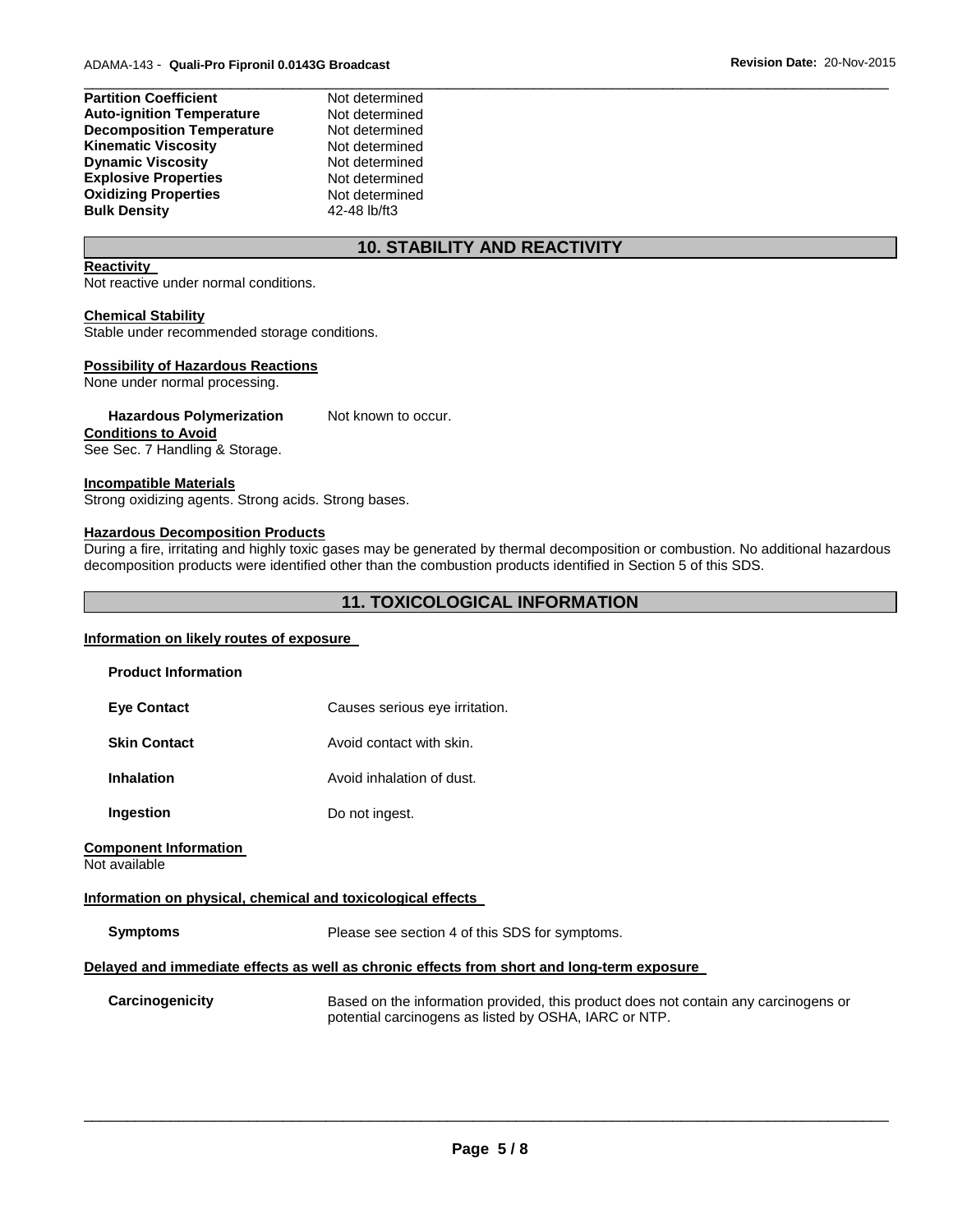| <b>Partition Coefficient</b>     | Not determined |  |
|----------------------------------|----------------|--|
| <b>Auto-ignition Temperature</b> | Not determined |  |
| <b>Decomposition Temperature</b> | Not determined |  |
| <b>Kinematic Viscosity</b>       | Not determined |  |
| <b>Dynamic Viscosity</b>         | Not determined |  |
| <b>Explosive Properties</b>      | Not determined |  |
| <b>Oxidizing Properties</b>      | Not determined |  |
| <b>Bulk Density</b>              | 42-48 lb/ft3   |  |
|                                  |                |  |

# **10. STABILITY AND REACTIVITY**

#### **Reactivity**

Not reactive under normal conditions.

#### **Chemical Stability**

Stable under recommended storage conditions.

#### **Possibility of Hazardous Reactions**

None under normal processing.

Hazardous Polymerization Not known to occur.

#### **Conditions to Avoid**

See Sec. 7 Handling & Storage.

#### **Incompatible Materials**

Strong oxidizing agents. Strong acids. Strong bases.

#### **Hazardous Decomposition Products**

During a fire, irritating and highly toxic gases may be generated by thermal decomposition or combustion. No additional hazardous decomposition products were identified other than the combustion products identified in Section 5 of this SDS.

# **11. TOXICOLOGICAL INFORMATION**

#### **Information on likely routes of exposure**

| <b>Product Information</b>                                  |                                                                                                                                              |
|-------------------------------------------------------------|----------------------------------------------------------------------------------------------------------------------------------------------|
| <b>Eve Contact</b>                                          | Causes serious eye irritation.                                                                                                               |
| <b>Skin Contact</b>                                         | Avoid contact with skin.                                                                                                                     |
| <b>Inhalation</b>                                           | Avoid inhalation of dust.                                                                                                                    |
| Ingestion                                                   | Do not ingest.                                                                                                                               |
| <b>Component Information</b><br>Not available               |                                                                                                                                              |
| Information on physical, chemical and toxicological effects |                                                                                                                                              |
| <b>Symptoms</b>                                             | Please see section 4 of this SDS for symptoms.                                                                                               |
|                                                             | Delayed and immediate effects as well as chronic effects from short and long-term exposure                                                   |
| Carcinogenicity                                             | Based on the information provided, this product does not contain any carcinogens or<br>potential carcinogens as listed by OSHA, IARC or NTP. |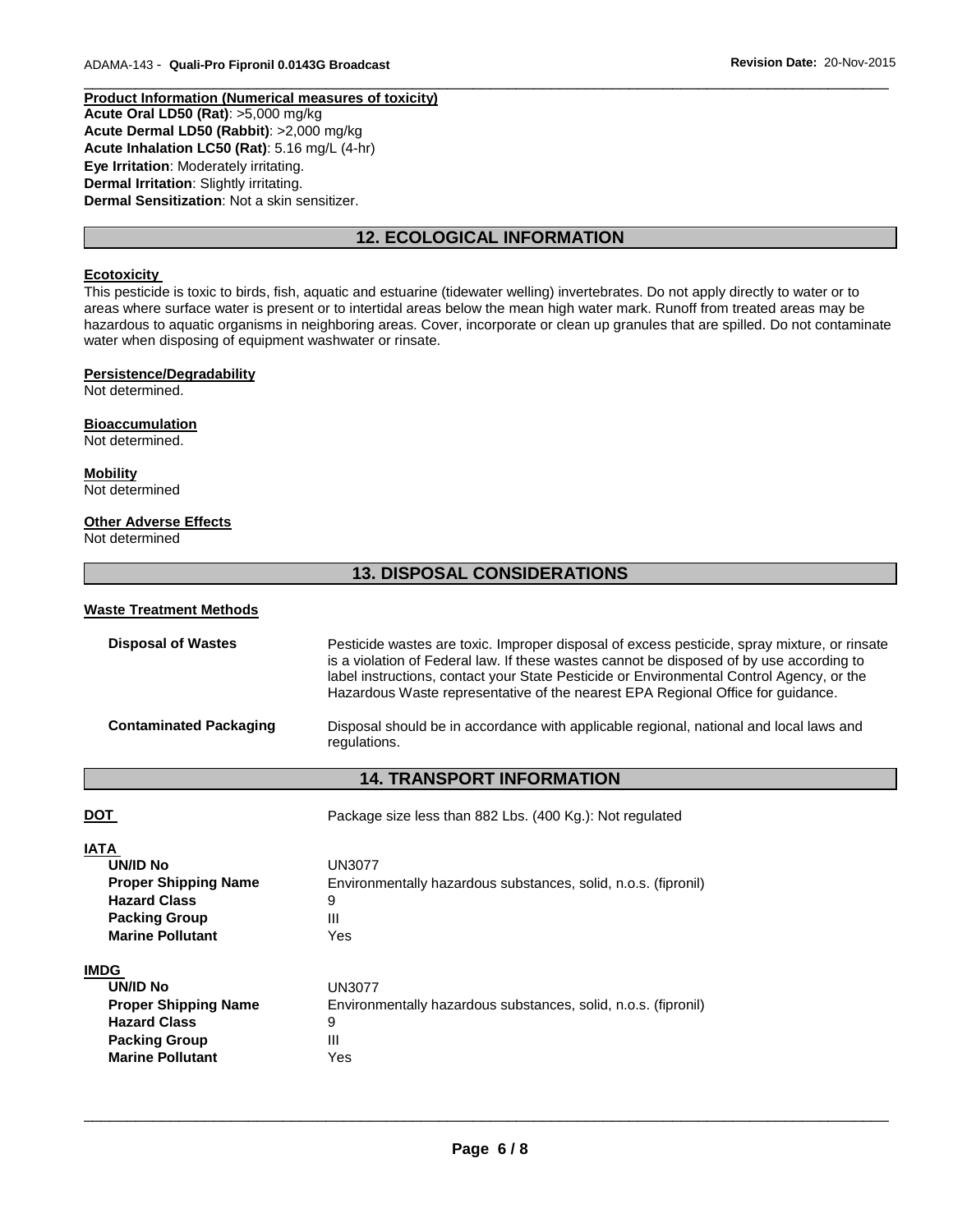**Product Information (Numerical measures of toxicity) Acute Oral LD50 (Rat)**: >5,000 mg/kg **Acute Dermal LD50 (Rabbit)**: >2,000 mg/kg **Acute Inhalation LC50 (Rat)**: 5.16 mg/L (4-hr) **Eye Irritation**: Moderately irritating. **Dermal Irritation**: Slightly irritating. **Dermal Sensitization**: Not a skin sensitizer.

# **12. ECOLOGICAL INFORMATION**

\_\_\_\_\_\_\_\_\_\_\_\_\_\_\_\_\_\_\_\_\_\_\_\_\_\_\_\_\_\_\_\_\_\_\_\_\_\_\_\_\_\_\_\_\_\_\_\_\_\_\_\_\_\_\_\_\_\_\_\_\_\_\_\_\_\_\_\_\_\_\_\_\_\_\_\_\_\_\_\_\_\_\_\_\_\_\_\_\_\_\_\_\_

#### **Ecotoxicity**

This pesticide is toxic to birds, fish, aquatic and estuarine (tidewater welling) invertebrates. Do not apply directly to water or to areas where surface water is present or to intertidal areas below the mean high water mark. Runoff from treated areas may be hazardous to aquatic organisms in neighboring areas. Cover, incorporate or clean up granules that are spilled. Do not contaminate water when disposing of equipment washwater or rinsate.

#### **Persistence/Degradability**

Not determined.

# **Bioaccumulation**

Not determined.

**Mobility** Not determined

#### **Other Adverse Effects**

Not determined

# **13. DISPOSAL CONSIDERATIONS**

#### **Waste Treatment Methods**

| <b>Disposal of Wastes</b>     | Pesticide wastes are toxic. Improper disposal of excess pesticide, spray mixture, or rinsate<br>is a violation of Federal law. If these wastes cannot be disposed of by use according to<br>label instructions, contact your State Pesticide or Environmental Control Agency, or the<br>Hazardous Waste representative of the nearest EPA Regional Office for guidance. |
|-------------------------------|-------------------------------------------------------------------------------------------------------------------------------------------------------------------------------------------------------------------------------------------------------------------------------------------------------------------------------------------------------------------------|
| <b>Contaminated Packaging</b> | Disposal should be in accordance with applicable regional, national and local laws and<br>regulations.                                                                                                                                                                                                                                                                  |

# **14. TRANSPORT INFORMATION**

| Package size less than 882 Lbs. (400 Kg.): Not regulated       |
|----------------------------------------------------------------|
|                                                                |
| <b>UN3077</b>                                                  |
| Environmentally hazardous substances, solid, n.o.s. (fipronil) |
| 9                                                              |
| Ш                                                              |
| Yes                                                            |
|                                                                |
| <b>UN3077</b>                                                  |
| Environmentally hazardous substances, solid, n.o.s. (fipronil) |
| 9                                                              |
| Ш                                                              |
| Yes                                                            |
|                                                                |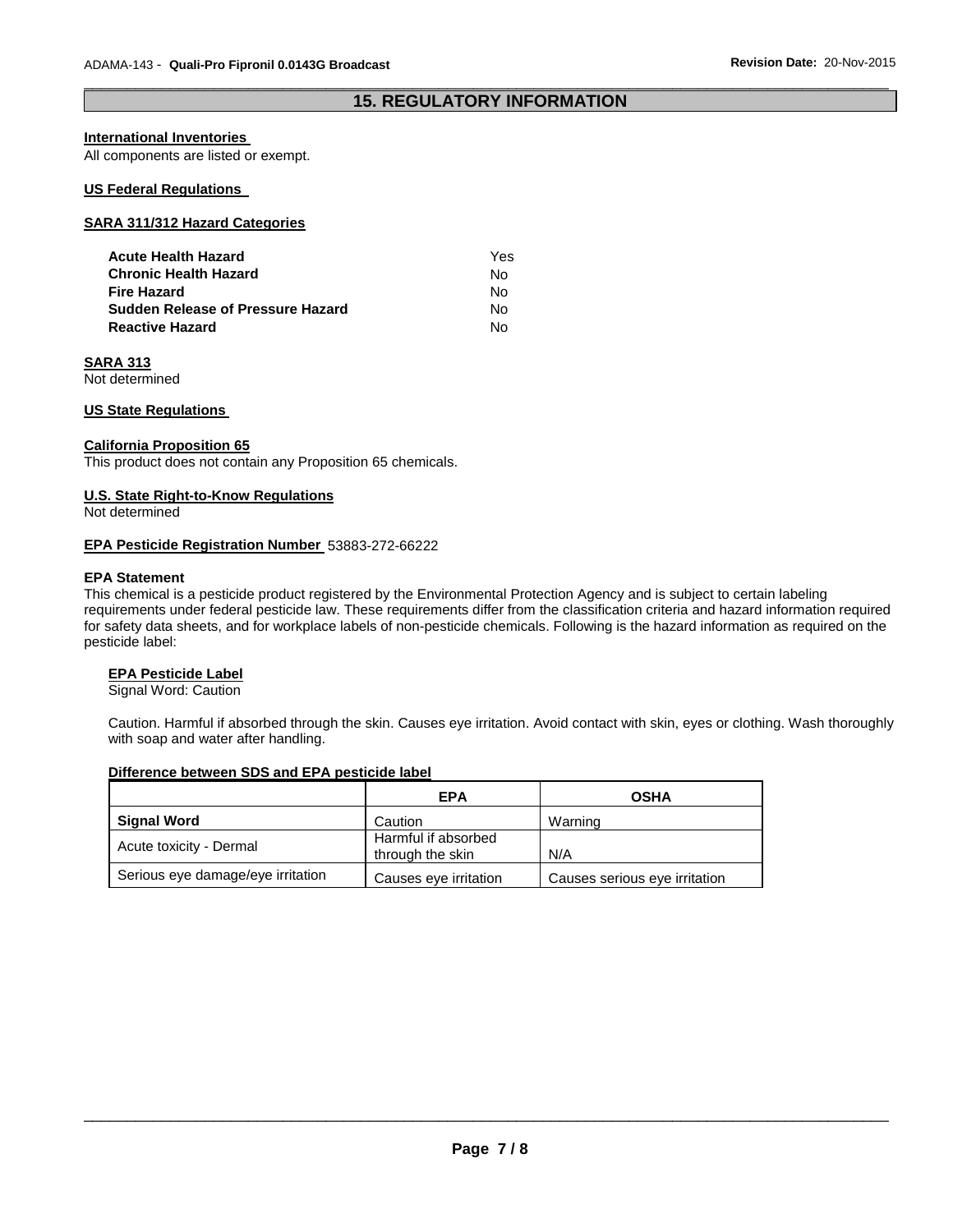#### \_\_\_\_\_\_\_\_\_\_\_\_\_\_\_\_\_\_\_\_\_\_\_\_\_\_\_\_\_\_\_\_\_\_\_\_\_\_\_\_\_\_\_\_\_\_\_\_\_\_\_\_\_\_\_\_\_\_\_\_\_\_\_\_\_\_\_\_\_\_\_\_\_\_\_\_\_\_\_\_\_\_\_\_\_\_\_\_\_\_\_\_\_ **15. REGULATORY INFORMATION**

#### **International Inventories**

All components are listed or exempt.

#### **US Federal Regulations**

#### **SARA 311/312 Hazard Categories**

| Acute Health Hazard               | Yes |
|-----------------------------------|-----|
| Chronic Health Hazard             | No. |
| Fire Hazard                       | No. |
| Sudden Release of Pressure Hazard | No. |
| Reactive Hazard                   | N٥  |

#### **SARA 313**

Not determined

#### **US State Regulations**

#### **California Proposition 65**

This product does not contain any Proposition 65 chemicals.

#### **U.S. State Right-to-Know Regulations**

Not determined

#### **EPA Pesticide Registration Number** 53883-272-66222

#### **EPA Statement**

This chemical is a pesticide product registered by the Environmental Protection Agency and is subject to certain labeling requirements under federal pesticide law. These requirements differ from the classification criteria and hazard information required for safety data sheets, and for workplace labels of non-pesticide chemicals. Following is the hazard information as required on the pesticide label:

#### **EPA Pesticide Label**

Signal Word: Caution

Caution. Harmful if absorbed through the skin. Causes eye irritation. Avoid contact with skin, eyes or clothing. Wash thoroughly with soap and water after handling.

#### **Difference between SDS and EPA pesticide label**

|                                   | <b>EPA</b>                              | <b>OSHA</b>                   |
|-----------------------------------|-----------------------------------------|-------------------------------|
| <b>Signal Word</b>                | Caution                                 | Warning                       |
| Acute toxicity - Dermal           | Harmful if absorbed<br>through the skin | N/A                           |
| Serious eye damage/eye irritation | Causes eye irritation                   | Causes serious eye irritation |